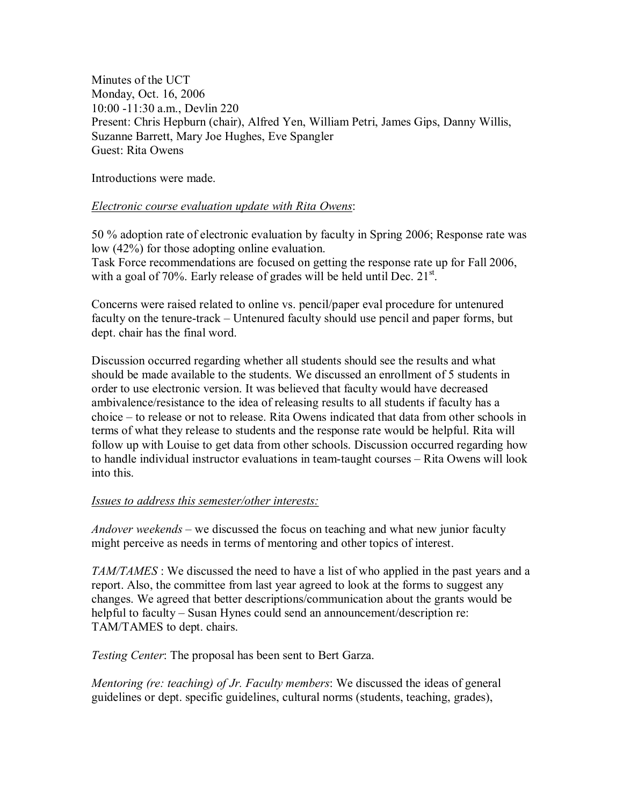Minutes of the UCT Monday, Oct. 16, 2006 10:00 11:30 a.m., Devlin 220 Present: Chris Hepburn (chair), Alfred Yen, William Petri, James Gips, Danny Willis, Suzanne Barrett, Mary Joe Hughes, Eve Spangler Guest: Rita Owens

Introductions were made.

## *Electronic course evaluation update with Rita Owens*:

50 % adoption rate of electronic evaluation by faculty in Spring 2006; Response rate was low (42%) for those adopting online evaluation. Task Force recommendations are focused on getting the response rate up for Fall 2006, with a goal of 70%. Early release of grades will be held until Dec.  $21<sup>st</sup>$ .

Concerns were raised related to online vs. pencil/paper eval procedure for untenured faculty on the tenure-track – Untenured faculty should use pencil and paper forms, but dept. chair has the final word.

Discussion occurred regarding whether all students should see the results and what should be made available to the students. We discussed an enrollment of 5 students in order to use electronic version. It was believed that faculty would have decreased ambivalence/resistance to the idea of releasing results to all students if faculty has a choice – to release or not to release. Rita Owens indicated that data from other schools in terms of what they release to students and the response rate would be helpful. Rita will follow up with Louise to get data from other schools. Discussion occurred regarding how to handle individual instructor evaluations in team-taught courses – Rita Owens will look into this.

## *Issues to address this semester/other interests:*

*Andover weekends* – we discussed the focus on teaching and what new junior faculty might perceive as needs in terms of mentoring and other topics of interest.

*TAM/TAMES* : We discussed the need to have a list of who applied in the past years and a report. Also, the committee from lastyear agreed to look at the forms to suggest any changes. We agreed that better descriptions/communication about the grants would be helpful to faculty – Susan Hynes could send an announcement/description re: TAM/TAMES to dept. chairs.

*Testing Center*: The proposal has been sent to Bert Garza.

*Mentoring (re: teaching) of Jr. Faculty members*: We discussed the ideas of general guidelines or dept. specific guidelines, cultural norms (students, teaching, grades),